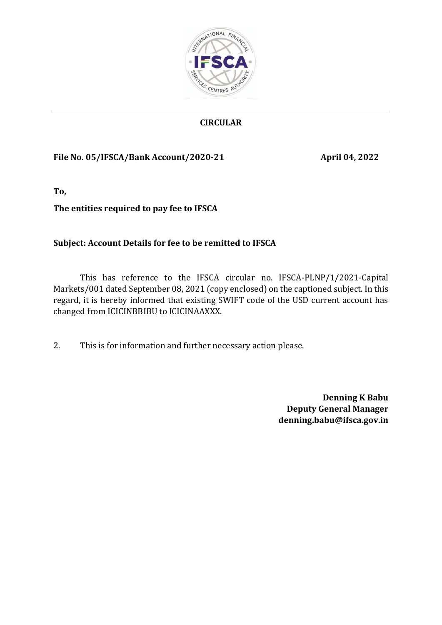

# **CIRCULAR**

## **File No. 05/IFSCA/Bank Account/2020-21 April 04, 2022**

**To,**

# **The entities required to pay fee to IFSCA**

# **Subject: Account Details for fee to be remitted to IFSCA**

This has reference to the IFSCA circular no. IFSCA-PLNP/1/2021-Capital Markets/001 dated September 08, 2021 (copy enclosed) on the captioned subject. In this regard, it is hereby informed that existing SWIFT code of the USD current account has changed from ICICINBBIBU to ICICINAAXXX.

2. This is for information and further necessary action please.

**Denning K Babu Deputy General Manager denning.babu@ifsca.gov.in**